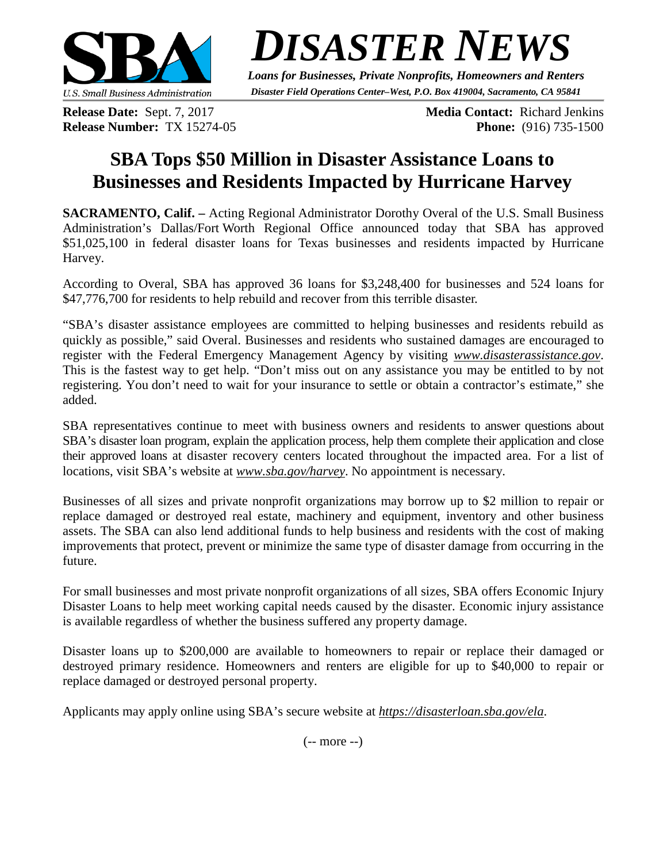

*DISASTER NEWS*

*Loans for Businesses, Private Nonprofits, Homeowners and Renters Disaster Field Operations Center–West, P.O. Box 419004, Sacramento, CA 95841*

**Release Date:** Sept. 7, 2017 **Media Contact:** Richard Jenkins **Release Number:** TX 15274-05 **Phone:** (916) 735-1500

## **SBA Tops \$50 Million in Disaster Assistance Loans to Businesses and Residents Impacted by Hurricane Harvey**

**SACRAMENTO, Calif. –** Acting Regional Administrator Dorothy Overal of the U.S. Small Business Administration's Dallas/Fort Worth Regional Office announced today that SBA has approved \$51,025,100 in federal disaster loans for Texas businesses and residents impacted by Hurricane Harvey.

According to Overal, SBA has approved 36 loans for \$3,248,400 for businesses and 524 loans for \$47,776,700 for residents to help rebuild and recover from this terrible disaster.

"SBA's disaster assistance employees are committed to helping businesses and residents rebuild as quickly as possible," said Overal. Businesses and residents who sustained damages are encouraged to register with the Federal Emergency Management Agency by visiting *www.disasterassistance.gov*. This is the fastest way to get help. "Don't miss out on any assistance you may be entitled to by not registering. You don't need to wait for your insurance to settle or obtain a contractor's estimate," she added.

SBA representatives continue to meet with business owners and residents to answer questions about SBA's disaster loan program, explain the application process, help them complete their application and close their approved loans at disaster recovery centers located throughout the impacted area. For a list of locations, visit SBA's website at *www.sba.gov/harvey*. No appointment is necessary.

Businesses of all sizes and private nonprofit organizations may borrow up to \$2 million to repair or replace damaged or destroyed real estate, machinery and equipment, inventory and other business assets. The SBA can also lend additional funds to help business and residents with the cost of making improvements that protect, prevent or minimize the same type of disaster damage from occurring in the future.

For small businesses and most private nonprofit organizations of all sizes, SBA offers Economic Injury Disaster Loans to help meet working capital needs caused by the disaster. Economic injury assistance is available regardless of whether the business suffered any property damage.

Disaster loans up to \$200,000 are available to homeowners to repair or replace their damaged or destroyed primary residence. Homeowners and renters are eligible for up to \$40,000 to repair or replace damaged or destroyed personal property.

Applicants may apply online using SBA's secure website at *<https://disasterloan.sba.gov/ela>*.

(-- more --)